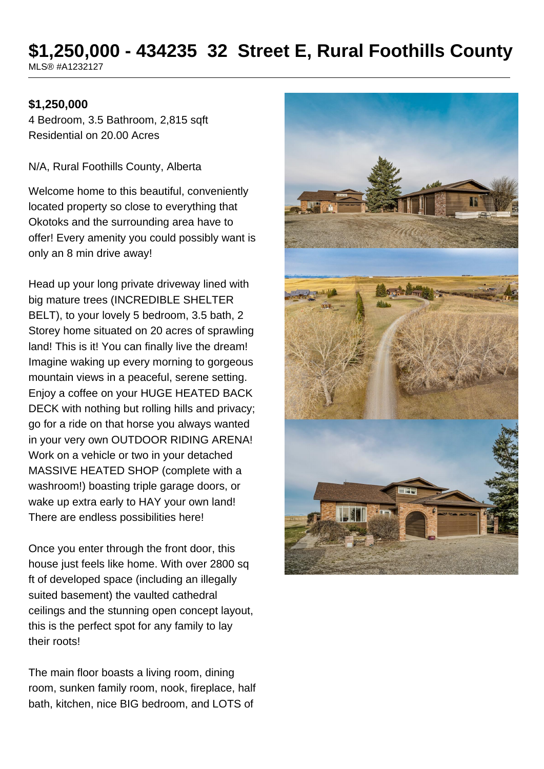# **\$1,250,000 - 434235 32 Street E, Rural Foothills County**

MLS® #A1232127

#### **\$1,250,000**

4 Bedroom, 3.5 Bathroom, 2,815 sqft Residential on 20.00 Acres

N/A, Rural Foothills County, Alberta

Welcome home to this beautiful, conveniently located property so close to everything that Okotoks and the surrounding area have to offer! Every amenity you could possibly want is only an 8 min drive away!

Head up your long private driveway lined with big mature trees (INCREDIBLE SHELTER BELT), to your lovely 5 bedroom, 3.5 bath, 2 Storey home situated on 20 acres of sprawling land! This is it! You can finally live the dream! Imagine waking up every morning to gorgeous mountain views in a peaceful, serene setting. Enjoy a coffee on your HUGE HEATED BACK DECK with nothing but rolling hills and privacy; go for a ride on that horse you always wanted in your very own OUTDOOR RIDING ARENA! Work on a vehicle or two in your detached MASSIVE HEATED SHOP (complete with a washroom!) boasting triple garage doors, or wake up extra early to HAY your own land! There are endless possibilities here!

Once you enter through the front door, this house just feels like home. With over 2800 sq ft of developed space (including an illegally suited basement) the vaulted cathedral ceilings and the stunning open concept layout, this is the perfect spot for any family to lay their roots!

The main floor boasts a living room, dining room, sunken family room, nook, fireplace, half bath, kitchen, nice BIG bedroom, and LOTS of

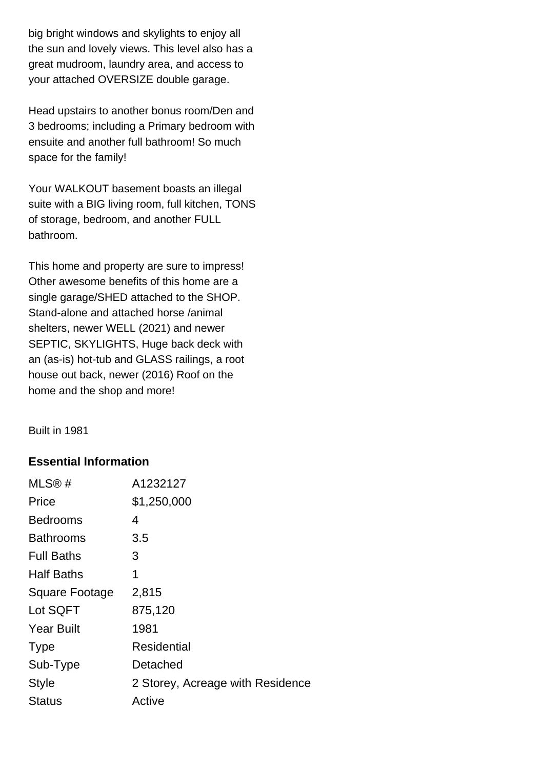big bright windows and skylights to enjoy all the sun and lovely views. This level also has a great mudroom, laundry area, and access to your attached OVERSIZE double garage.

Head upstairs to another bonus room/Den and 3 bedrooms; including a Primary bedroom with ensuite and another full bathroom! So much space for the family!

Your WALKOUT basement boasts an illegal suite with a BIG living room, full kitchen, TONS of storage, bedroom, and another FULL bathroom.

This home and property are sure to impress! Other awesome benefits of this home are a single garage/SHED attached to the SHOP. Stand-alone and attached horse /animal shelters, newer WELL (2021) and newer SEPTIC, SKYLIGHTS, Huge back deck with an (as-is) hot-tub and GLASS railings, a root house out back, newer (2016) Roof on the home and the shop and more!

Built in 1981

#### **Essential Information**

| MLS@#             | A1232127                         |
|-------------------|----------------------------------|
| Price             | \$1,250,000                      |
| <b>Bedrooms</b>   | 4                                |
| <b>Bathrooms</b>  | 3.5                              |
| <b>Full Baths</b> | 3                                |
| <b>Half Baths</b> | 1                                |
| Square Footage    | 2,815                            |
| Lot SQFT          | 875,120                          |
| <b>Year Built</b> | 1981                             |
| <b>Type</b>       | <b>Residential</b>               |
| Sub-Type          | Detached                         |
| <b>Style</b>      | 2 Storey, Acreage with Residence |
| Status            | Active                           |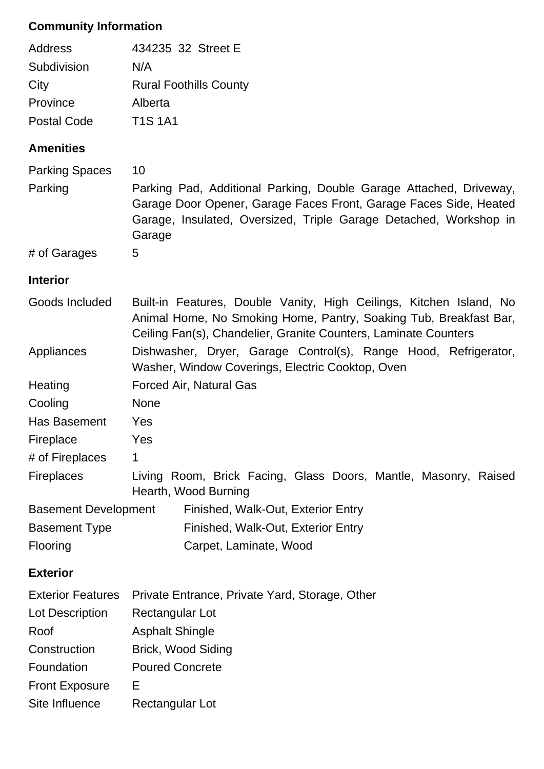## **Community Information**

| Address            | 434235 32 Street E            |
|--------------------|-------------------------------|
| Subdivision        | N/A                           |
| City               | <b>Rural Foothills County</b> |
| Province           | Alberta                       |
| <b>Postal Code</b> | <b>T1S 1A1</b>                |

## **Amenities**

| <b>Parking Spaces</b><br>Parking | 10<br>Parking Pad, Additional Parking, Double Garage Attached, Driveway,<br>Garage Door Opener, Garage Faces Front, Garage Faces Side, Heated<br>Garage, Insulated, Oversized, Triple Garage Detached, Workshop in<br>Garage |  |  |
|----------------------------------|------------------------------------------------------------------------------------------------------------------------------------------------------------------------------------------------------------------------------|--|--|
| # of Garages                     | 5                                                                                                                                                                                                                            |  |  |
| <b>Interior</b>                  |                                                                                                                                                                                                                              |  |  |
| Goods Included                   | Built-in Features, Double Vanity, High Ceilings, Kitchen Island, No<br>Animal Home, No Smoking Home, Pantry, Soaking Tub, Breakfast Bar,<br>Ceiling Fan(s), Chandelier, Granite Counters, Laminate Counters                  |  |  |
| Appliances                       | Dishwasher, Dryer, Garage Control(s), Range Hood, Refrigerator,<br>Washer, Window Coverings, Electric Cooktop, Oven                                                                                                          |  |  |
| Heating                          | <b>Forced Air, Natural Gas</b>                                                                                                                                                                                               |  |  |
| Cooling                          | <b>None</b>                                                                                                                                                                                                                  |  |  |
| Has Basement                     | Yes                                                                                                                                                                                                                          |  |  |
| Fireplace                        | Yes                                                                                                                                                                                                                          |  |  |
| # of Fireplaces                  | $\mathbf 1$                                                                                                                                                                                                                  |  |  |
| <b>Fireplaces</b>                | Living Room, Brick Facing, Glass Doors, Mantle, Masonry, Raised<br>Hearth, Wood Burning                                                                                                                                      |  |  |
| <b>Basement Development</b>      | Finished, Walk-Out, Exterior Entry                                                                                                                                                                                           |  |  |
| <b>Basement Type</b>             | Finished, Walk-Out, Exterior Entry                                                                                                                                                                                           |  |  |
| Flooring                         | Carpet, Laminate, Wood                                                                                                                                                                                                       |  |  |
| <b>Exterior</b>                  |                                                                                                                                                                                                                              |  |  |
| <b>Exterior Features</b>         | Private Entrance, Private Yard, Storage, Other                                                                                                                                                                               |  |  |
| Lot Description                  | Rectangular Lot                                                                                                                                                                                                              |  |  |
| Roof                             | <b>Asphalt Shingle</b>                                                                                                                                                                                                       |  |  |
| Construction                     | <b>Brick, Wood Siding</b>                                                                                                                                                                                                    |  |  |
| Foundation                       | <b>Poured Concrete</b>                                                                                                                                                                                                       |  |  |
| <b>Front Exposure</b>            | Е                                                                                                                                                                                                                            |  |  |

Site Influence Rectangular Lot